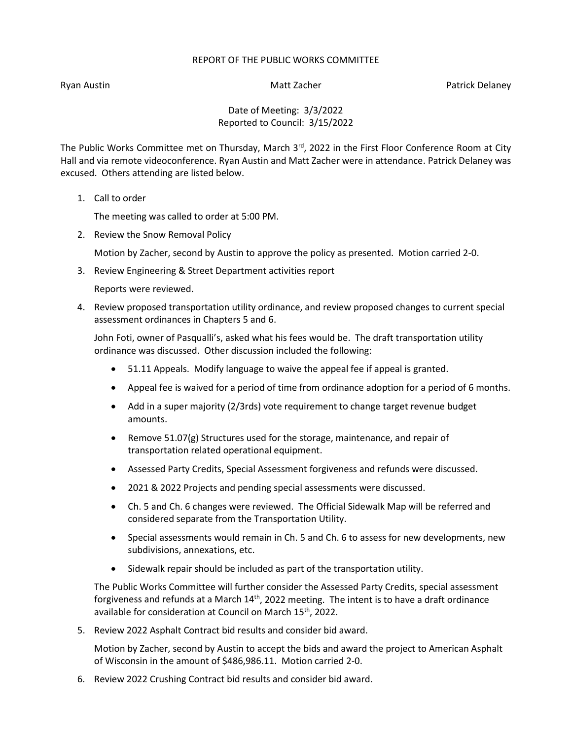## REPORT OF THE PUBLIC WORKS COMMITTEE

Ryan Austin Nation Matt Zacher Patrick Delaney Patrick Delaney

Date of Meeting: 3/3/2022 Reported to Council: 3/15/2022

The Public Works Committee met on Thursday, March 3<sup>rd</sup>, 2022 in the First Floor Conference Room at City Hall and via remote videoconference. Ryan Austin and Matt Zacher were in attendance. Patrick Delaney was excused. Others attending are listed below.

1. Call to order

The meeting was called to order at 5:00 PM.

2. Review the Snow Removal Policy

Motion by Zacher, second by Austin to approve the policy as presented. Motion carried 2-0.

3. Review Engineering & Street Department activities report

Reports were reviewed.

4. Review proposed transportation utility ordinance, and review proposed changes to current special assessment ordinances in Chapters 5 and 6.

John Foti, owner of Pasqualli's, asked what his fees would be. The draft transportation utility ordinance was discussed. Other discussion included the following:

- 51.11 Appeals. Modify language to waive the appeal fee if appeal is granted.
- Appeal fee is waived for a period of time from ordinance adoption for a period of 6 months.
- Add in a super majority (2/3rds) vote requirement to change target revenue budget amounts.
- Remove 51.07(g) Structures used for the storage, maintenance, and repair of transportation related operational equipment.
- Assessed Party Credits, Special Assessment forgiveness and refunds were discussed.
- 2021 & 2022 Projects and pending special assessments were discussed.
- Ch. 5 and Ch. 6 changes were reviewed. The Official Sidewalk Map will be referred and considered separate from the Transportation Utility.
- Special assessments would remain in Ch. 5 and Ch. 6 to assess for new developments, new subdivisions, annexations, etc.
- Sidewalk repair should be included as part of the transportation utility.

The Public Works Committee will further consider the Assessed Party Credits, special assessment forgiveness and refunds at a March  $14<sup>th</sup>$ , 2022 meeting. The intent is to have a draft ordinance available for consideration at Council on March 15th, 2022.

5. Review 2022 Asphalt Contract bid results and consider bid award.

Motion by Zacher, second by Austin to accept the bids and award the project to American Asphalt of Wisconsin in the amount of \$486,986.11. Motion carried 2-0.

6. Review 2022 Crushing Contract bid results and consider bid award.